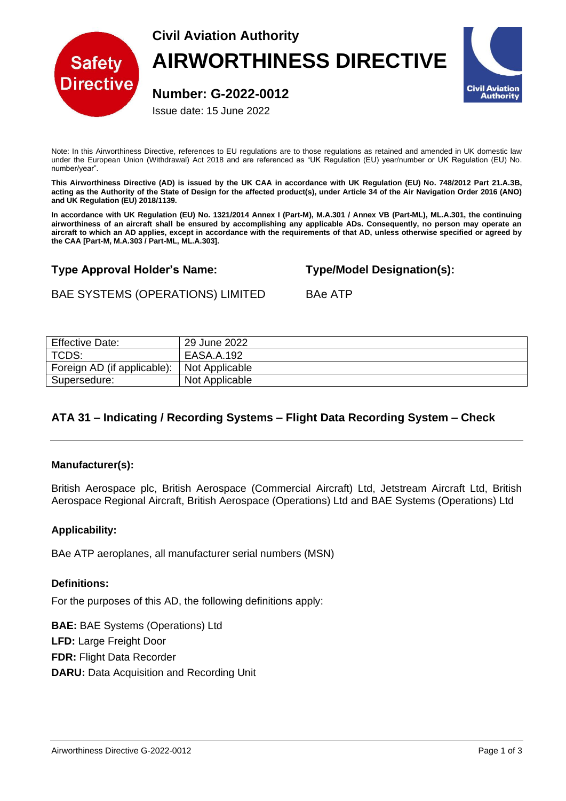

# **Civil Aviation Authority AIRWORTHINESS DIRECTIVE**

**Number: G-2022-0012**

Issue date: 15 June 2022

**Civil Aviation Authority** 

Note: In this Airworthiness Directive, references to EU regulations are to those regulations as retained and amended in UK domestic law under the European Union (Withdrawal) Act 2018 and are referenced as "UK Regulation (EU) year/number or UK Regulation (EU) No. number/year".

**This Airworthiness Directive (AD) is issued by the UK CAA in accordance with UK Regulation (EU) No. 748/2012 Part 21.A.3B, acting as the Authority of the State of Design for the affected product(s), under Article 34 of the Air Navigation Order 2016 (ANO) and UK Regulation (EU) 2018/1139.**

**In accordance with UK Regulation (EU) No. 1321/2014 Annex I (Part-M), M.A.301 / Annex VB (Part-ML), ML.A.301, the continuing airworthiness of an aircraft shall be ensured by accomplishing any applicable ADs. Consequently, no person may operate an aircraft to which an AD applies, except in accordance with the requirements of that AD, unless otherwise specified or agreed by the CAA [Part-M, M.A.303 / Part-ML, ML.A.303].**

## **Type Approval Holder's Name: Type/Model Designation(s):**

# BAE SYSTEMS (OPERATIONS) LIMITED BAe ATP

| <b>Effective Date:</b>      | 29 June 2022   |
|-----------------------------|----------------|
| TCDS:                       | EASA.A.192     |
| Foreign AD (if applicable): | Not Applicable |
| Supersedure:                | Not Applicable |

## **ATA 31 – Indicating / Recording Systems – Flight Data Recording System – Check**

## **Manufacturer(s):**

British Aerospace plc, British Aerospace (Commercial Aircraft) Ltd, Jetstream Aircraft Ltd, British Aerospace Regional Aircraft, British Aerospace (Operations) Ltd and BAE Systems (Operations) Ltd

## **Applicability:**

BAe ATP aeroplanes, all manufacturer serial numbers (MSN)

#### **Definitions:**

For the purposes of this AD, the following definitions apply:

**BAE:** BAE Systems (Operations) Ltd **LFD:** Large Freight Door **FDR:** Flight Data Recorder **DARU:** Data Acquisition and Recording Unit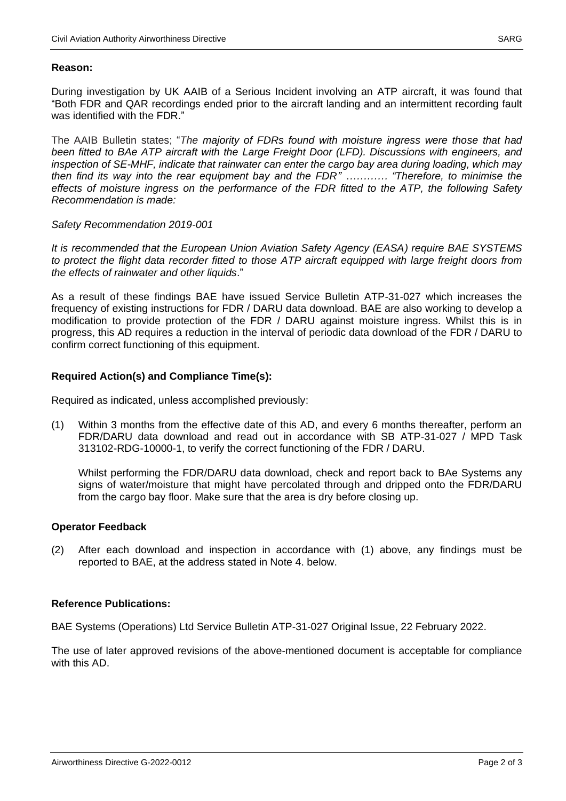#### **Reason:**

During investigation by UK AAIB of a Serious Incident involving an ATP aircraft, it was found that "Both FDR and QAR recordings ended prior to the aircraft landing and an intermittent recording fault was identified with the FDR."

The AAIB Bulletin states; "*The majority of FDRs found with moisture ingress were those that had been fitted to BAe ATP aircraft with the Large Freight Door (LFD). Discussions with engineers, and inspection of SE-MHF, indicate that rainwater can enter the cargo bay area during loading, which may then find its way into the rear equipment bay and the FDR" ………… "Therefore, to minimise the effects of moisture ingress on the performance of the FDR fitted to the ATP, the following Safety Recommendation is made:* 

#### *Safety Recommendation 2019-001*

*It is recommended that the European Union Aviation Safety Agency (EASA) require BAE SYSTEMS to protect the flight data recorder fitted to those ATP aircraft equipped with large freight doors from the effects of rainwater and other liquids*."

As a result of these findings BAE have issued Service Bulletin ATP-31-027 which increases the frequency of existing instructions for FDR / DARU data download. BAE are also working to develop a modification to provide protection of the FDR / DARU against moisture ingress. Whilst this is in progress, this AD requires a reduction in the interval of periodic data download of the FDR / DARU to confirm correct functioning of this equipment.

#### **Required Action(s) and Compliance Time(s):**

Required as indicated, unless accomplished previously:

(1) Within 3 months from the effective date of this AD, and every 6 months thereafter, perform an FDR/DARU data download and read out in accordance with SB ATP-31-027 / MPD Task 313102-RDG-10000-1, to verify the correct functioning of the FDR / DARU.

Whilst performing the FDR/DARU data download, check and report back to BAe Systems any signs of water/moisture that might have percolated through and dripped onto the FDR/DARU from the cargo bay floor. Make sure that the area is dry before closing up.

#### **Operator Feedback**

(2) After each download and inspection in accordance with (1) above, any findings must be reported to BAE, at the address stated in Note 4. below.

#### **Reference Publications:**

BAE Systems (Operations) Ltd Service Bulletin ATP-31-027 Original Issue, 22 February 2022.

The use of later approved revisions of the above-mentioned document is acceptable for compliance with this AD.